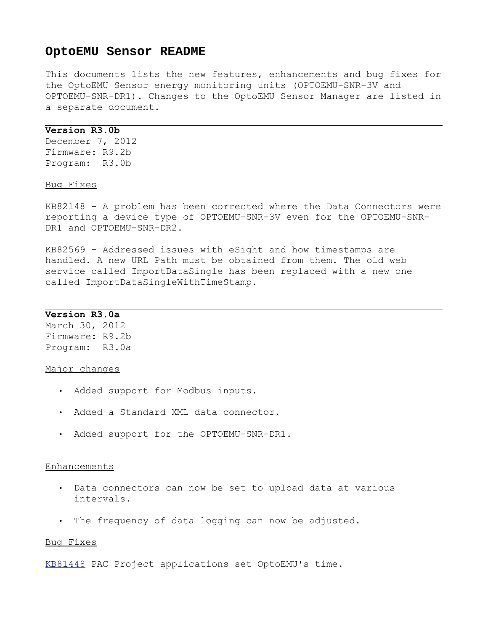# **OptoEMU Sensor README**

This documents lists the new features, enhancements and bug fixes for the OptoEMU Sensor energy monitoring units (OPTOEMU-SNR-3V and OPTOEMU-SNR-DR1). Changes to the OptoEMU Sensor Manager are listed in a separate document.

#### **Version R3.0b**

December 7, 2012 Firmware: R9.2b Program: R3.0b

Bug Fixes

KB82148 - A problem has been corrected where the Data Connectors were reporting a device type of OPTOEMU-SNR-3V even for the OPTOEMU-SNR-DR1 and OPTOEMU-SNR-DR2.

KB82569 - Addressed issues with eSight and how timestamps are handled. A new URL Path must be obtained from them. The old web service called ImportDataSingle has been replaced with a new one called ImportDataSingleWithTimeStamp.

## **Version R3.0a**

March 30, 2012 Firmware: R9.2b Program: R3.0a

#### Major changes

- Added support for Modbus inputs.
- Added a Standard XML data connector.
- Added support for the OPTOEMU-SNR-DR1.

#### Enhancements

- Data connectors can now be set to upload data at various intervals.
- The frequency of data logging can now be adjusted.

#### Bug Fixes

[KB81448](http://www.opto22.com/site/knowledgebase/kb_view_article.aspx?aid=1974) PAC Project applications set OptoEMU's time.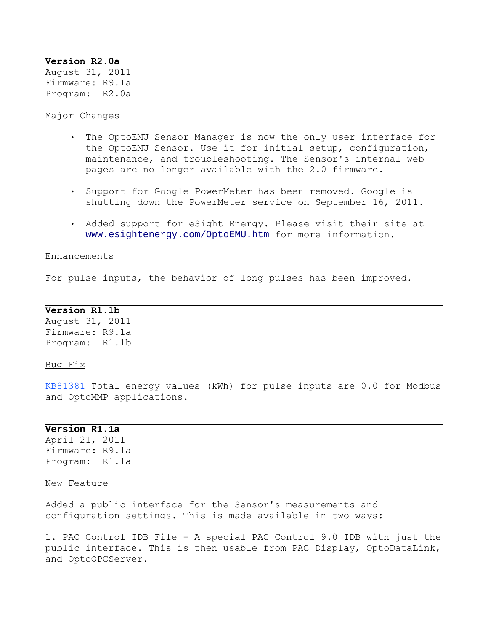## **Version R2.0a**

August 31, 2011 Firmware: R9.1a Program: R2.0a

Major Changes

- The OptoEMU Sensor Manager is now the only user interface for the OptoEMU Sensor. Use it for initial setup, configuration, maintenance, and troubleshooting. The Sensor's internal web pages are no longer available with the 2.0 firmware.
- Support for Google PowerMeter has been removed. Google is shutting down the PowerMeter service on September 16, 2011.
- Added support for eSight Energy. Please visit their site at [www.esightenergy.com/OptoEMU.htm](http://www.esightenergy.com/OptoEMU.htm) for more information.

#### Enhancements

For pulse inputs, the behavior of long pulses has been improved.

# **Version R1.1b**

August 31, 2011 Firmware: R9.1a Program: R1.1b

## Bug Fix

[KB81381](http://www.opto22.com/site/knowledgebase/kb_view_article.aspx?aid=1795) Total energy values (kWh) for pulse inputs are 0.0 for Modbus and OptoMMP applications.

# **Version R1.1a**

April 21, 2011 Firmware: R9.1a Program: R1.1a

## New Feature

Added a public interface for the Sensor's measurements and configuration settings. This is made available in two ways:

1. PAC Control IDB File - A special PAC Control 9.0 IDB with just the public interface. This is then usable from PAC Display, OptoDataLink, and OptoOPCServer.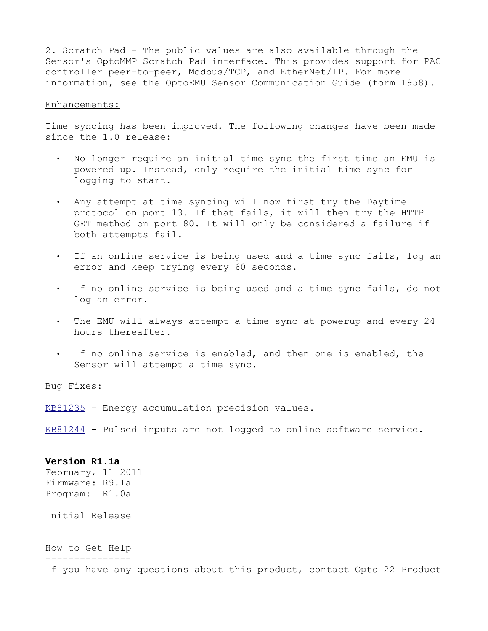2. Scratch Pad - The public values are also available through the Sensor's OptoMMP Scratch Pad interface. This provides support for PAC controller peer-to-peer, Modbus/TCP, and EtherNet/IP. For more information, see the OptoEMU Sensor Communication Guide (form 1958).

## Enhancements:

Time syncing has been improved. The following changes have been made since the 1.0 release:

- No longer require an initial time sync the first time an EMU is powered up. Instead, only require the initial time sync for logging to start.
- Any attempt at time syncing will now first try the Daytime protocol on port 13. If that fails, it will then try the HTTP GET method on port 80. It will only be considered a failure if both attempts fail.
- If an online service is being used and a time sync fails, log an error and keep trying every 60 seconds.
- If no online service is being used and a time sync fails, do not log an error.
- The EMU will always attempt a time sync at powerup and every 24 hours thereafter.
- If no online service is enabled, and then one is enabled, the Sensor will attempt a time sync.

Bug Fixes:

[KB81235](http://www.opto22.com/site/knowledgebase/kb_view_article.aspx?aid=1722) - Energy accumulation precision values.

[KB81244](http://www.opto22.com/site/knowledgebase/kb_view_article.aspx?aid=1723) - Pulsed inputs are not logged to online software service.

**Version R1.1a** February, 11 2011 Firmware: R9.1a Program: R1.0a Initial Release How to Get Help --------------- If you have any questions about this product, contact Opto 22 Product